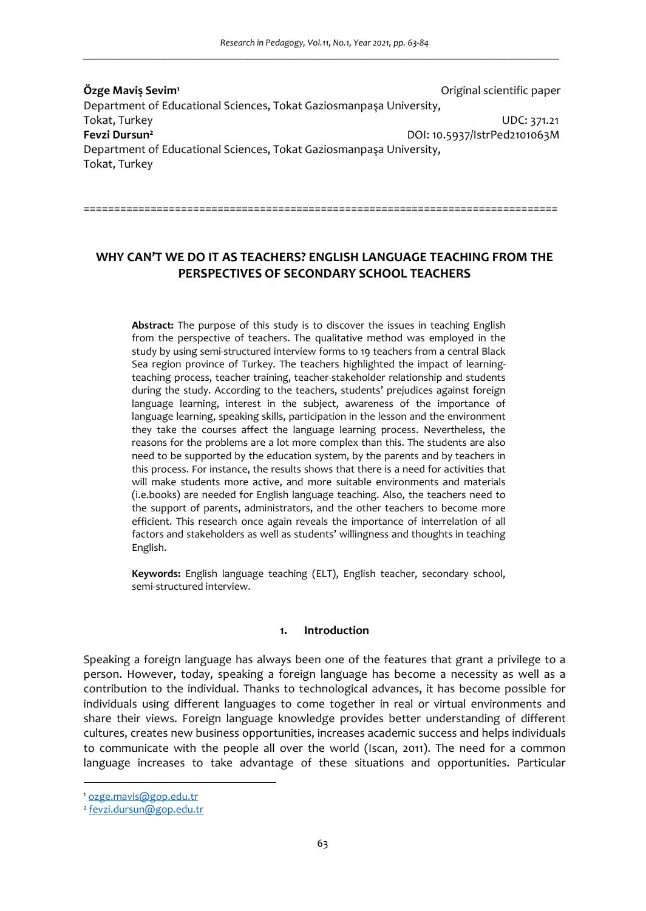**Özge Maviş Sevim<sup>1</sup>** Original scientific paper Department of Educational Sciences, Tokat Gaziosmanpaşa University, Tokat, Turkey UDC: 371.21 **Fevzi Dursun<sup>2</sup>** DOI: 10.5937/IstrPed2101063M Department of Educational Sciences, Tokat Gaziosmanpaşa University, Tokat, Turkey

**WHY CAN'T WE DO IT AS TEACHERS? ENGLISH LANGUAGE TEACHING FROM THE PERSPECTIVES OF SECONDARY SCHOOL TEACHERS** 

==============================================================================

**Abstract:** The purpose of this study is to discover the issues in teaching English from the perspective of teachers. The qualitative method was employed in the study by using semi-structured interview forms to 19 teachers from a central Black Sea region province of Turkey. The teachers highlighted the impact of learningteaching process, teacher training, teacher-stakeholder relationship and students during the study. According to the teachers, students' prejudices against foreign language learning, interest in the subject, awareness of the importance of language learning, speaking skills, participation in the lesson and the environment they take the courses affect the language learning process. Nevertheless, the reasons for the problems are a lot more complex than this. The students are also need to be supported by the education system, by the parents and by teachers in this process. For instance, the results shows that there is a need for activities that will make students more active, and more suitable environments and materials (i.e.books) are needed for English language teaching. Also, the teachers need to the support of parents, administrators, and the other teachers to become more efficient. This research once again reveals the importance of interrelation of all factors and stakeholders as well as students' willingness and thoughts in teaching English.

**Keywords:** English language teaching (ELT), English teacher, secondary school, semi-structured interview.

#### **1. Introduction**

Speaking a foreign language has always been one of the features that grant a privilege to a person. However, today, speaking a foreign language has become a necessity as well as a contribution to the individual. Thanks to technological advances, it has become possible for individuals using different languages to come together in real or virtual environments and share their views. Foreign language knowledge provides better understanding of different cultures, creates new business opportunities, increases academic success and helps individuals to communicate with the people all over the world (Iscan, 2011). The need for a common language increases to take advantage of these situations and opportunities. Particular

<sup>1</sup> ozge.mavis@gop.edu.tr

<sup>&</sup>lt;sup>2</sup> fevzi.dursun@gop.edu.tr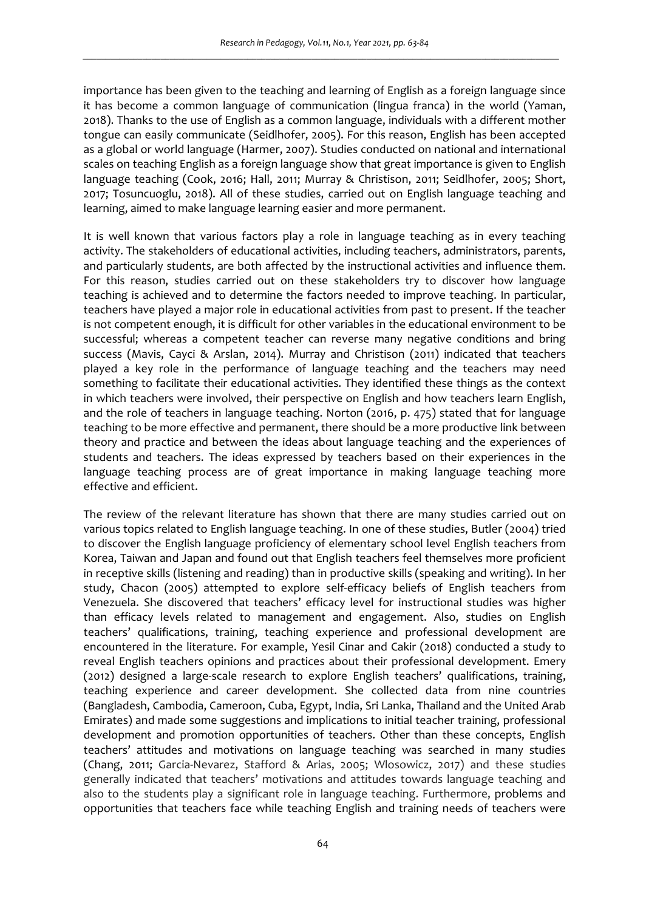importance has been given to the teaching and learning of English as a foreign language since it has become a common language of communication (lingua franca) in the world (Yaman, 2018). Thanks to the use of English as a common language, individuals with a different mother tongue can easily communicate (Seidlhofer, 2005). For this reason, English has been accepted as a global or world language (Harmer, 2007). Studies conducted on national and international scales on teaching English as a foreign language show that great importance is given to English language teaching (Cook, 2016; Hall, 2011; Murray & Christison, 2011; Seidlhofer, 2005; Short, 2017; Tosuncuoglu, 2018). All of these studies, carried out on English language teaching and learning, aimed to make language learning easier and more permanent.

It is well known that various factors play a role in language teaching as in every teaching activity. The stakeholders of educational activities, including teachers, administrators, parents, and particularly students, are both affected by the instructional activities and influence them. For this reason, studies carried out on these stakeholders try to discover how language teaching is achieved and to determine the factors needed to improve teaching. In particular, teachers have played a major role in educational activities from past to present. If the teacher is not competent enough, it is difficult for other variables in the educational environment to be successful; whereas a competent teacher can reverse many negative conditions and bring success (Mavis, Cayci & Arslan, 2014). Murray and Christison (2011) indicated that teachers played a key role in the performance of language teaching and the teachers may need something to facilitate their educational activities. They identified these things as the context in which teachers were involved, their perspective on English and how teachers learn English, and the role of teachers in language teaching. Norton (2016, p. 475) stated that for language teaching to be more effective and permanent, there should be a more productive link between theory and practice and between the ideas about language teaching and the experiences of students and teachers. The ideas expressed by teachers based on their experiences in the language teaching process are of great importance in making language teaching more effective and efficient.

The review of the relevant literature has shown that there are many studies carried out on various topics related to English language teaching. In one of these studies, Butler (2004) tried to discover the English language proficiency of elementary school level English teachers from Korea, Taiwan and Japan and found out that English teachers feel themselves more proficient in receptive skills (listening and reading) than in productive skills (speaking and writing). In her study, Chacon (2005) attempted to explore self-efficacy beliefs of English teachers from Venezuela. She discovered that teachers' efficacy level for instructional studies was higher than efficacy levels related to management and engagement. Also, studies on English teachers' qualifications, training, teaching experience and professional development are encountered in the literature. For example, Yesil Cinar and Cakir (2018) conducted a study to reveal English teachers opinions and practices about their professional development. Emery (2012) designed a large-scale research to explore English teachers' qualifications, training, teaching experience and career development. She collected data from nine countries (Bangladesh, Cambodia, Cameroon, Cuba, Egypt, India, Sri Lanka, Thailand and the United Arab Emirates) and made some suggestions and implications to initial teacher training, professional development and promotion opportunities of teachers. Other than these concepts, English teachers' attitudes and motivations on language teaching was searched in many studies (Chang, 2011; Garcia-Nevarez, Stafford & Arias, 2005; Wlosowicz, 2017) and these studies generally indicated that teachers' motivations and attitudes towards language teaching and also to the students play a significant role in language teaching. Furthermore, problems and opportunities that teachers face while teaching English and training needs of teachers were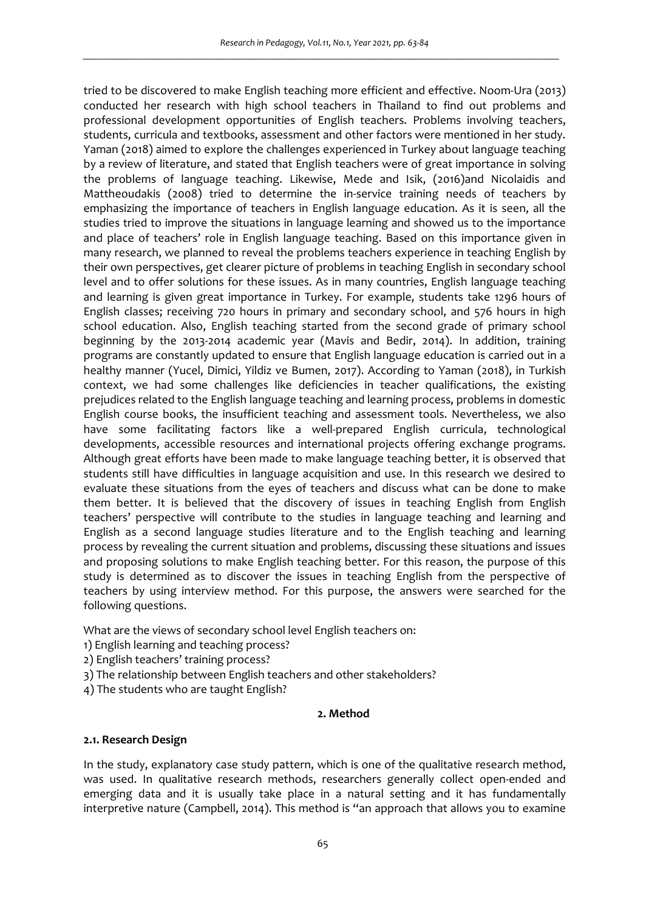tried to be discovered to make English teaching more efficient and effective. Noom-Ura (2013) conducted her research with high school teachers in Thailand to find out problems and professional development opportunities of English teachers. Problems involving teachers, students, curricula and textbooks, assessment and other factors were mentioned in her study. Yaman (2018) aimed to explore the challenges experienced in Turkey about language teaching by a review of literature, and stated that English teachers were of great importance in solving the problems of language teaching. Likewise, Mede and Isik, (2016)and Nicolaidis and Mattheoudakis (2008) tried to determine the in-service training needs of teachers by emphasizing the importance of teachers in English language education. As it is seen, all the studies tried to improve the situations in language learning and showed us to the importance and place of teachers' role in English language teaching. Based on this importance given in many research, we planned to reveal the problems teachers experience in teaching English by their own perspectives, get clearer picture of problems in teaching English in secondary school level and to offer solutions for these issues. As in many countries, English language teaching and learning is given great importance in Turkey. For example, students take 1296 hours of English classes; receiving 720 hours in primary and secondary school, and 576 hours in high school education. Also, English teaching started from the second grade of primary school beginning by the 2013-2014 academic year (Mavis and Bedir, 2014). In addition, training programs are constantly updated to ensure that English language education is carried out in a healthy manner (Yucel, Dimici, Yildiz ve Bumen, 2017). According to Yaman (2018), in Turkish context, we had some challenges like deficiencies in teacher qualifications, the existing prejudices related to the English language teaching and learning process, problems in domestic English course books, the insufficient teaching and assessment tools. Nevertheless, we also have some facilitating factors like a well-prepared English curricula, technological developments, accessible resources and international projects offering exchange programs. Although great efforts have been made to make language teaching better, it is observed that students still have difficulties in language acquisition and use. In this research we desired to evaluate these situations from the eyes of teachers and discuss what can be done to make them better. It is believed that the discovery of issues in teaching English from English teachers' perspective will contribute to the studies in language teaching and learning and English as a second language studies literature and to the English teaching and learning process by revealing the current situation and problems, discussing these situations and issues and proposing solutions to make English teaching better. For this reason, the purpose of this study is determined as to discover the issues in teaching English from the perspective of teachers by using interview method. For this purpose, the answers were searched for the following questions.

What are the views of secondary school level English teachers on:

- 1) English learning and teaching process?
- 2) English teachers' training process?
- 3) The relationship between English teachers and other stakeholders?
- 4) The students who are taught English?

### **2. Method**

### **2.1. Research Design**

In the study, explanatory case study pattern, which is one of the qualitative research method, was used. In qualitative research methods, researchers generally collect open-ended and emerging data and it is usually take place in a natural setting and it has fundamentally interpretive nature (Campbell, 2014). This method is "an approach that allows you to examine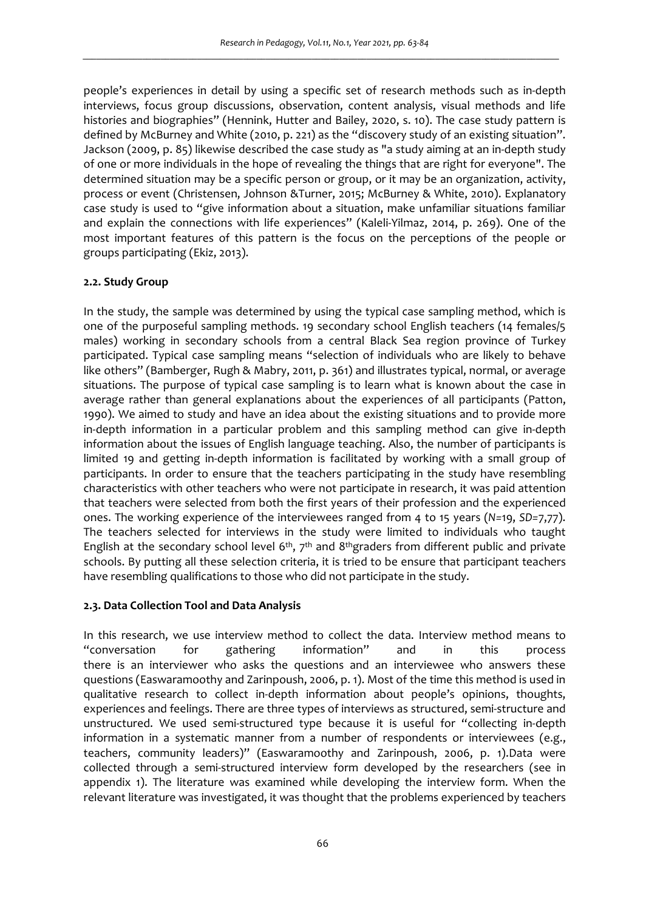people's experiences in detail by using a specific set of research methods such as in-depth interviews, focus group discussions, observation, content analysis, visual methods and life histories and biographies" (Hennink, Hutter and Bailey, 2020, s. 10). The case study pattern is defined by McBurney and White (2010, p. 221) as the "discovery study of an existing situation". Jackson (2009, p. 85) likewise described the case study as "a study aiming at an in-depth study of one or more individuals in the hope of revealing the things that are right for everyone". The determined situation may be a specific person or group, or it may be an organization, activity, process or event (Christensen, Johnson &Turner, 2015; McBurney & White, 2010). Explanatory case study is used to "give information about a situation, make unfamiliar situations familiar and explain the connections with life experiences" (Kaleli-Yilmaz, 2014, p. 269). One of the most important features of this pattern is the focus on the perceptions of the people or groups participating (Ekiz, 2013).

### **2.2. Study Group**

In the study, the sample was determined by using the typical case sampling method, which is one of the purposeful sampling methods. 19 secondary school English teachers (14 females/5 males) working in secondary schools from a central Black Sea region province of Turkey participated. Typical case sampling means "selection of individuals who are likely to behave like others" (Bamberger, Rugh & Mabry, 2011, p. 361) and illustrates typical, normal, or average situations. The purpose of typical case sampling is to learn what is known about the case in average rather than general explanations about the experiences of all participants (Patton, 1990). We aimed to study and have an idea about the existing situations and to provide more in-depth information in a particular problem and this sampling method can give in-depth information about the issues of English language teaching. Also, the number of participants is limited 19 and getting in-depth information is facilitated by working with a small group of participants. In order to ensure that the teachers participating in the study have resembling characteristics with other teachers who were not participate in research, it was paid attention that teachers were selected from both the first years of their profession and the experienced ones. The working experience of the interviewees ranged from 4 to 15 years (*N=*19, *SD=*7,77). The teachers selected for interviews in the study were limited to individuals who taught English at the secondary school level  $6<sup>th</sup>$ ,  $7<sup>th</sup>$  and  $8<sup>th</sup>$ graders from different public and private schools. By putting all these selection criteria, it is tried to be ensure that participant teachers have resembling qualifications to those who did not participate in the study.

## **2.3. Data Collection Tool and Data Analysis**

In this research, we use interview method to collect the data. Interview method means to "conversation for gathering information" and in this process there is an interviewer who asks the questions and an interviewee who answers these questions (Easwaramoothy and Zarinpoush, 2006, p. 1). Most of the time this method is used in qualitative research to collect in-depth information about people's opinions, thoughts, experiences and feelings. There are three types of interviews as structured, semi-structure and unstructured. We used semi-structured type because it is useful for "collecting in-depth information in a systematic manner from a number of respondents or interviewees (e.g., teachers, community leaders)" (Easwaramoothy and Zarinpoush, 2006, p. 1).Data were collected through a semi-structured interview form developed by the researchers (see in appendix 1). The literature was examined while developing the interview form. When the relevant literature was investigated, it was thought that the problems experienced by teachers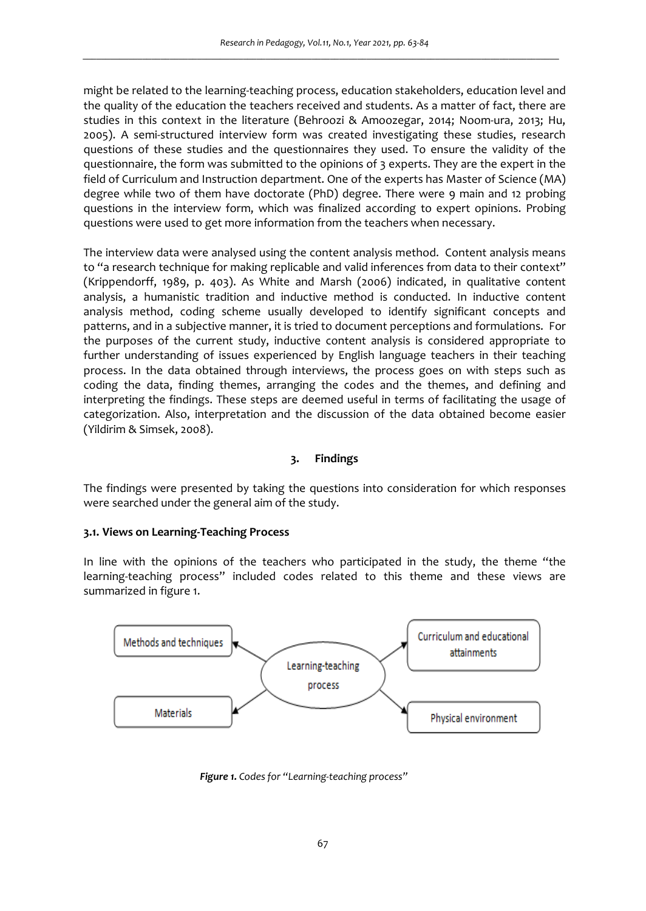might be related to the learning-teaching process, education stakeholders, education level and the quality of the education the teachers received and students. As a matter of fact, there are studies in this context in the literature (Behroozi & Amoozegar, 2014; Noom-ura, 2013; Hu, 2005). A semi-structured interview form was created investigating these studies, research questions of these studies and the questionnaires they used. To ensure the validity of the questionnaire, the form was submitted to the opinions of 3 experts. They are the expert in the field of Curriculum and Instruction department. One of the experts has Master of Science (MA) degree while two of them have doctorate (PhD) degree. There were 9 main and 12 probing questions in the interview form, which was finalized according to expert opinions. Probing questions were used to get more information from the teachers when necessary.

The interview data were analysed using the content analysis method. Content analysis means to "a research technique for making replicable and valid inferences from data to their context" (Krippendorff, 1989, p. 403). As White and Marsh (2006) indicated, in qualitative content analysis, a humanistic tradition and inductive method is conducted. In inductive content analysis method, coding scheme usually developed to identify significant concepts and patterns, and in a subjective manner, it is tried to document perceptions and formulations. For the purposes of the current study, inductive content analysis is considered appropriate to further understanding of issues experienced by English language teachers in their teaching process. In the data obtained through interviews, the process goes on with steps such as coding the data, finding themes, arranging the codes and the themes, and defining and interpreting the findings. These steps are deemed useful in terms of facilitating the usage of categorization. Also, interpretation and the discussion of the data obtained become easier (Yildirim & Simsek, 2008).

# **3. Findings**

The findings were presented by taking the questions into consideration for which responses were searched under the general aim of the study.

### **3.1. Views on Learning-Teaching Process**

In line with the opinions of the teachers who participated in the study, the theme "the learning-teaching process" included codes related to this theme and these views are summarized in figure 1.



*Figure 1. Codes for "Learning-teaching process"*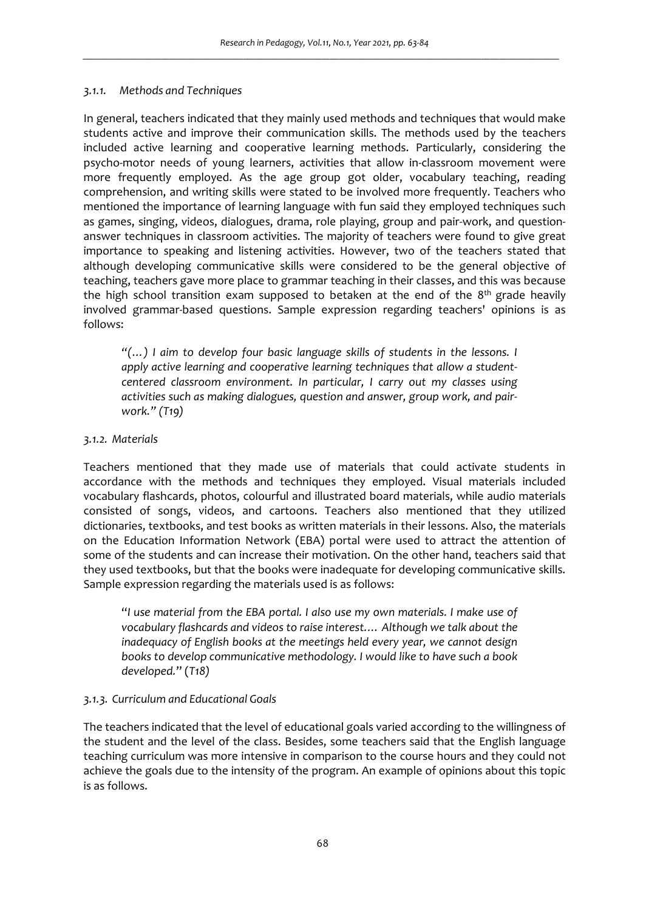### *3.1.1. Methods and Techniques*

In general, teachers indicated that they mainly used methods and techniques that would make students active and improve their communication skills. The methods used by the teachers included active learning and cooperative learning methods. Particularly, considering the psycho-motor needs of young learners, activities that allow in-classroom movement were more frequently employed. As the age group got older, vocabulary teaching, reading comprehension, and writing skills were stated to be involved more frequently. Teachers who mentioned the importance of learning language with fun said they employed techniques such as games, singing, videos, dialogues, drama, role playing, group and pair-work, and questionanswer techniques in classroom activities. The majority of teachers were found to give great importance to speaking and listening activities. However, two of the teachers stated that although developing communicative skills were considered to be the general objective of teaching, teachers gave more place to grammar teaching in their classes, and this was because the high school transition exam supposed to betaken at the end of the  $8<sup>th</sup>$  grade heavily involved grammar-based questions. Sample expression regarding teachers' opinions is as follows:

*"(…) I aim to develop four basic language skills of students in the lessons. I apply active learning and cooperative learning techniques that allow a studentcentered classroom environment. In particular, I carry out my classes using activities such as making dialogues, question and answer, group work, and pairwork." (T19)* 

### *3.1.2. Materials*

Teachers mentioned that they made use of materials that could activate students in accordance with the methods and techniques they employed. Visual materials included vocabulary flashcards, photos, colourful and illustrated board materials, while audio materials consisted of songs, videos, and cartoons. Teachers also mentioned that they utilized dictionaries, textbooks, and test books as written materials in their lessons. Also, the materials on the Education Information Network (EBA) portal were used to attract the attention of some of the students and can increase their motivation. On the other hand, teachers said that they used textbooks, but that the books were inadequate for developing communicative skills. Sample expression regarding the materials used is as follows:

"*I use material from the EBA portal. I also use my own materials. I make use of vocabulary flashcards and videos to raise interest.… Although we talk about the inadequacy of English books at the meetings held every year, we cannot design books to develop communicative methodology. I would like to have such a book developed.*" (*T18)* 

## *3.1.3. Curriculum and Educational Goals*

The teachers indicated that the level of educational goals varied according to the willingness of the student and the level of the class. Besides, some teachers said that the English language teaching curriculum was more intensive in comparison to the course hours and they could not achieve the goals due to the intensity of the program. An example of opinions about this topic is as follows.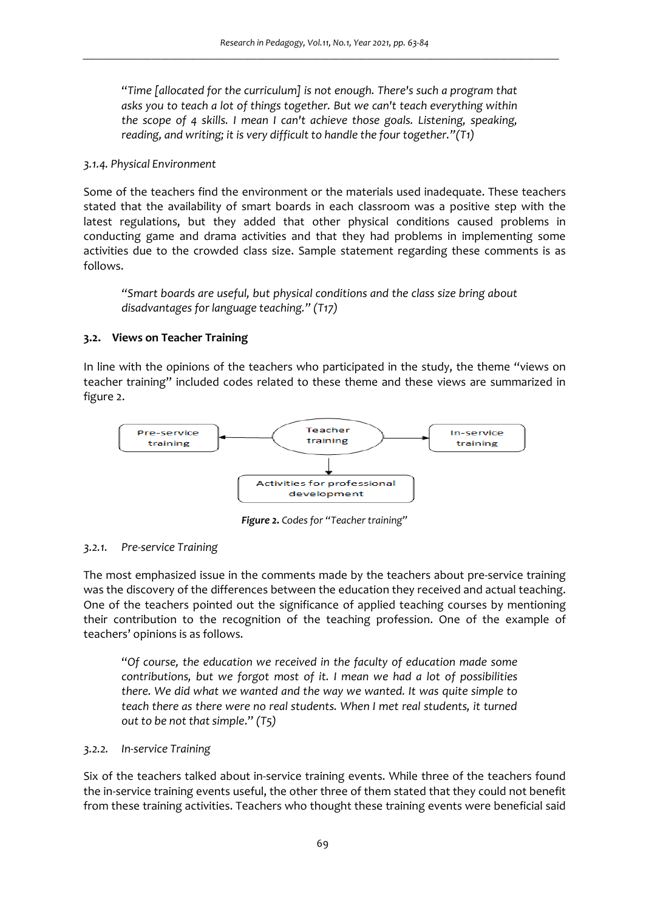"*Time [allocated for the curriculum] is not enough. There's such a program that asks you to teach a lot of things together. But we can't teach everything within the scope of 4 skills. I mean I can't achieve those goals. Listening, speaking, reading, and writing; it is very difficult to handle the four together."(T1)* 

#### *3.1.4. Physical Environment*

Some of the teachers find the environment or the materials used inadequate. These teachers stated that the availability of smart boards in each classroom was a positive step with the latest regulations, but they added that other physical conditions caused problems in conducting game and drama activities and that they had problems in implementing some activities due to the crowded class size. Sample statement regarding these comments is as follows.

*"Smart boards are useful, but physical conditions and the class size bring about disadvantages for language teaching." (T17)* 

### **3.2. Views on Teacher Training**

In line with the opinions of the teachers who participated in the study, the theme "views on teacher training" included codes related to these theme and these views are summarized in figure 2.



*Figure 2. Codes for "Teacher training"* 

### *3.2.1. Pre-service Training*

The most emphasized issue in the comments made by the teachers about pre-service training was the discovery of the differences between the education they received and actual teaching. One of the teachers pointed out the significance of applied teaching courses by mentioning their contribution to the recognition of the teaching profession. One of the example of teachers' opinions is as follows.

"*Of course, the education we received in the faculty of education made some contributions, but we forgot most of it. I mean we had a lot of possibilities there. We did what we wanted and the way we wanted. It was quite simple to teach there as there were no real students. When I met real students, it turned out to be not that simple*." *(T5)* 

### *3.2.2. In-service Training*

Six of the teachers talked about in-service training events. While three of the teachers found the in-service training events useful, the other three of them stated that they could not benefit from these training activities. Teachers who thought these training events were beneficial said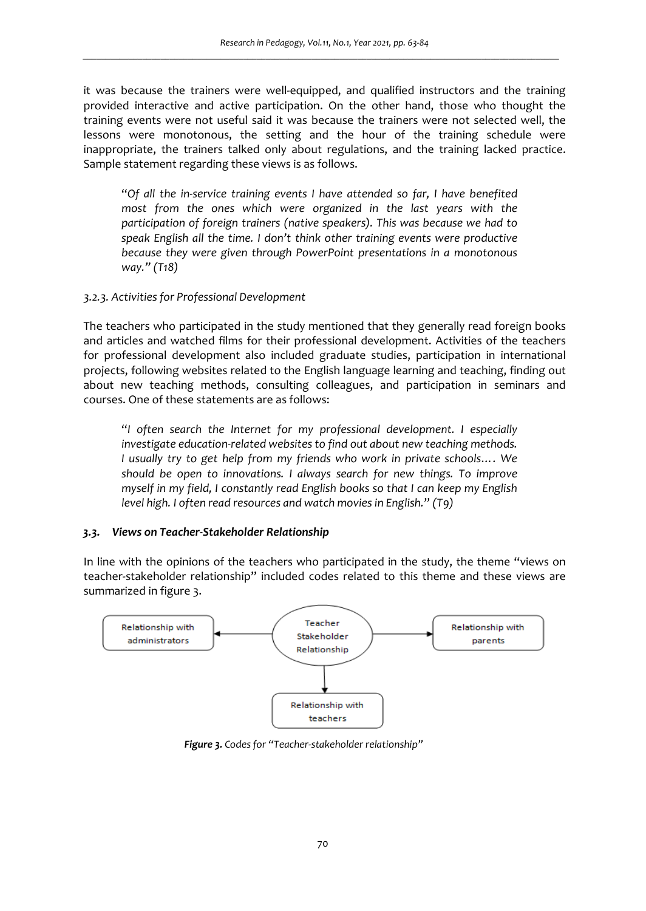it was because the trainers were well-equipped, and qualified instructors and the training provided interactive and active participation. On the other hand, those who thought the training events were not useful said it was because the trainers were not selected well, the lessons were monotonous, the setting and the hour of the training schedule were inappropriate, the trainers talked only about regulations, and the training lacked practice. Sample statement regarding these views is as follows.

"*Of all the in-service training events I have attended so far, I have benefited most from the ones which were organized in the last years with the participation of foreign trainers (native speakers). This was because we had to speak English all the time. I don't think other training events were productive because they were given through PowerPoint presentations in a monotonous way." (T18)* 

### *3.2.3. Activities for Professional Development*

The teachers who participated in the study mentioned that they generally read foreign books and articles and watched films for their professional development. Activities of the teachers for professional development also included graduate studies, participation in international projects, following websites related to the English language learning and teaching, finding out about new teaching methods, consulting colleagues, and participation in seminars and courses. One of these statements are as follows:

"*I often search the Internet for my professional development. I especially investigate education-related websites to find out about new teaching methods. I usually try to get help from my friends who work in private schools…. We should be open to innovations. I always search for new things. To improve myself in my field, I constantly read English books so that I can keep my English level high. I often read resources and watch movies in English.*" *(T9)* 

### *3.3. Views on Teacher-Stakeholder Relationship*

In line with the opinions of the teachers who participated in the study, the theme "views on teacher-stakeholder relationship" included codes related to this theme and these views are summarized in figure 3.



*Figure 3. Codes for "Teacher-stakeholder relationship"*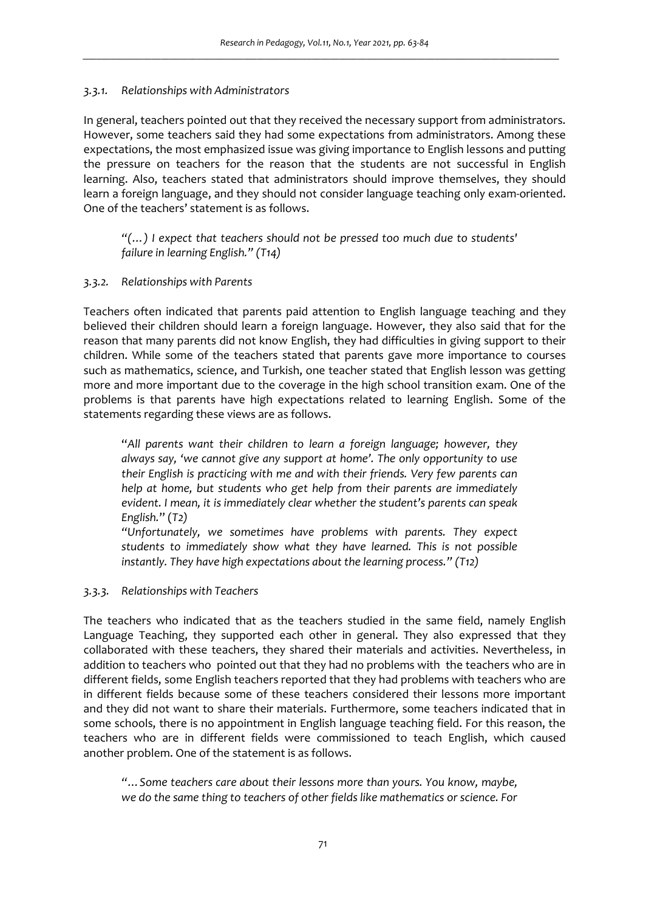### *3.3.1. Relationships with Administrators*

In general, teachers pointed out that they received the necessary support from administrators. However, some teachers said they had some expectations from administrators. Among these expectations, the most emphasized issue was giving importance to English lessons and putting the pressure on teachers for the reason that the students are not successful in English learning. Also, teachers stated that administrators should improve themselves, they should learn a foreign language, and they should not consider language teaching only exam-oriented. One of the teachers' statement is as follows.

*"(…) I expect that teachers should not be pressed too much due to students' failure in learning English." (T14)* 

### *3.3.2. Relationships with Parents*

Teachers often indicated that parents paid attention to English language teaching and they believed their children should learn a foreign language. However, they also said that for the reason that many parents did not know English, they had difficulties in giving support to their children. While some of the teachers stated that parents gave more importance to courses such as mathematics, science, and Turkish, one teacher stated that English lesson was getting more and more important due to the coverage in the high school transition exam. One of the problems is that parents have high expectations related to learning English. Some of the statements regarding these views are as follows.

"*All parents want their children to learn a foreign language; however, they always say, 'we cannot give any support at home'. The only opportunity to use their English is practicing with me and with their friends. Very few parents can help at home, but students who get help from their parents are immediately evident. I mean, it is immediately clear whether the student's parents can speak English.*" (*T2)* 

*"Unfortunately, we sometimes have problems with parents. They expect students to immediately show what they have learned. This is not possible instantly. They have high expectations about the learning process." (T12)* 

## *3.3.3. Relationships with Teachers*

The teachers who indicated that as the teachers studied in the same field, namely English Language Teaching, they supported each other in general. They also expressed that they collaborated with these teachers, they shared their materials and activities. Nevertheless, in addition to teachers who pointed out that they had no problems with the teachers who are in different fields, some English teachers reported that they had problems with teachers who are in different fields because some of these teachers considered their lessons more important and they did not want to share their materials. Furthermore, some teachers indicated that in some schools, there is no appointment in English language teaching field. For this reason, the teachers who are in different fields were commissioned to teach English, which caused another problem. One of the statement is as follows.

*"…Some teachers care about their lessons more than yours. You know, maybe, we do the same thing to teachers of other fields like mathematics or science. For*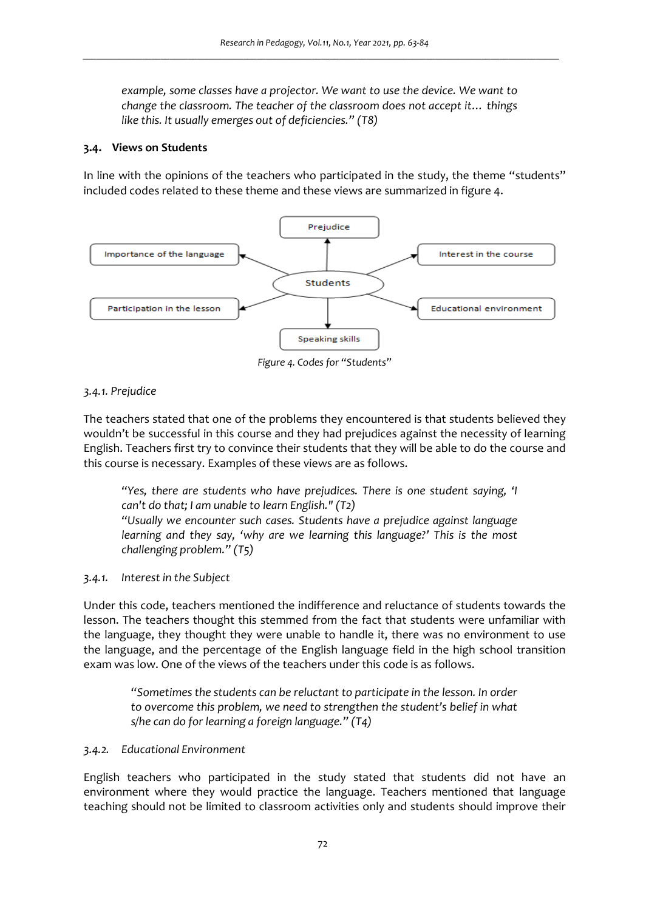*example, some classes have a projector. We want to use the device. We want to change the classroom. The teacher of the classroom does not accept it… things like this. It usually emerges out of deficiencies." (T8)* 

### **3.4. Views on Students**

In line with the opinions of the teachers who participated in the study, the theme "students" included codes related to these theme and these views are summarized in figure 4.



*Figure 4. Codes for "Students"* 

### *3.4.1. Prejudice*

The teachers stated that one of the problems they encountered is that students believed they wouldn't be successful in this course and they had prejudices against the necessity of learning English. Teachers first try to convince their students that they will be able to do the course and this course is necessary. Examples of these views are as follows.

*"Yes, there are students who have prejudices. There is one student saying, 'I can't do that; I am unable to learn English." (T2)* 

*"Usually we encounter such cases. Students have a prejudice against language learning and they say, 'why are we learning this language?' This is the most challenging problem." (T5)* 

### *3.4.1. Interest in the Subject*

Under this code, teachers mentioned the indifference and reluctance of students towards the lesson. The teachers thought this stemmed from the fact that students were unfamiliar with the language, they thought they were unable to handle it, there was no environment to use the language, and the percentage of the English language field in the high school transition exam was low. One of the views of the teachers under this code is as follows.

*"Sometimes the students can be reluctant to participate in the lesson. In order to overcome this problem, we need to strengthen the student's belief in what s/he can do for learning a foreign language." (T4)* 

### *3.4.2. Educational Environment*

English teachers who participated in the study stated that students did not have an environment where they would practice the language. Teachers mentioned that language teaching should not be limited to classroom activities only and students should improve their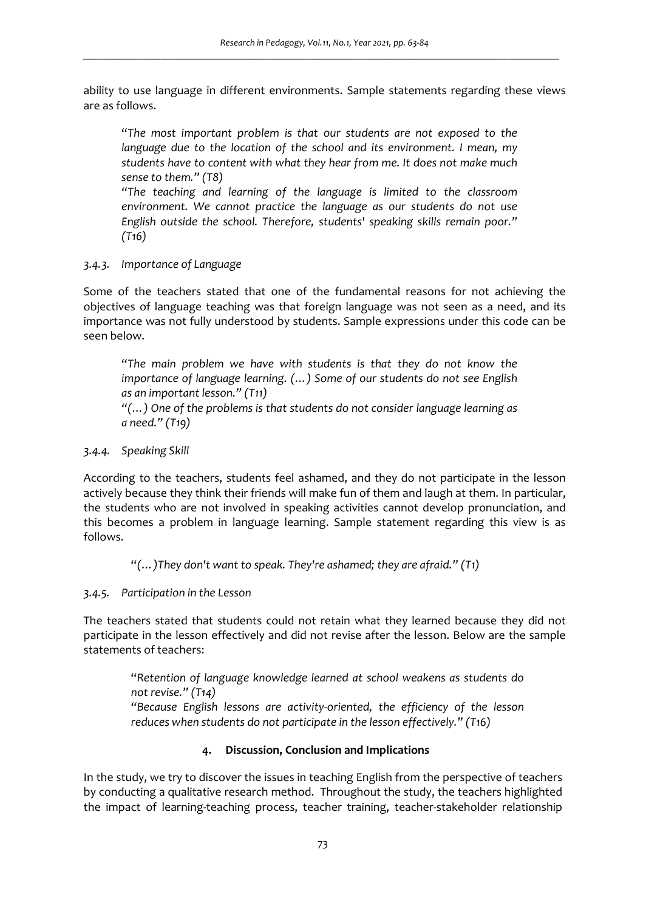ability to use language in different environments. Sample statements regarding these views are as follows.

"*The most important problem is that our students are not exposed to the language due to the location of the school and its environment. I mean, my students have to content with what they hear from me. It does not make much sense to them." (T8)* 

*"The teaching and learning of the language is limited to the classroom environment. We cannot practice the language as our students do not use English outside the school. Therefore, students' speaking skills remain poor." (T16)* 

### *3.4.3. Importance of Language*

Some of the teachers stated that one of the fundamental reasons for not achieving the objectives of language teaching was that foreign language was not seen as a need, and its importance was not fully understood by students. Sample expressions under this code can be seen below.

"*The main problem we have with students is that they do not know the importance of language learning. (…) Some of our students do not see English as an important lesson." (T11)* 

*"(…) One of the problems is that students do not consider language learning as a need." (T19)* 

## *3.4.4. Speaking Skill*

According to the teachers, students feel ashamed, and they do not participate in the lesson actively because they think their friends will make fun of them and laugh at them. In particular, the students who are not involved in speaking activities cannot develop pronunciation, and this becomes a problem in language learning. Sample statement regarding this view is as follows.

"*(…)They don't want to speak. They're ashamed; they are afraid." (T1)* 

## *3.4.5. Participation in the Lesson*

The teachers stated that students could not retain what they learned because they did not participate in the lesson effectively and did not revise after the lesson. Below are the sample statements of teachers:

"*Retention of language knowledge learned at school weakens as students do not revise." (T14) "Because English lessons are activity-oriented, the efficiency of the lesson reduces when students do not participate in the lesson effectively." (T16)* 

## **4. Discussion, Conclusion and Implications**

In the study, we try to discover the issues in teaching English from the perspective of teachers by conducting a qualitative research method. Throughout the study, the teachers highlighted the impact of learning-teaching process, teacher training, teacher-stakeholder relationship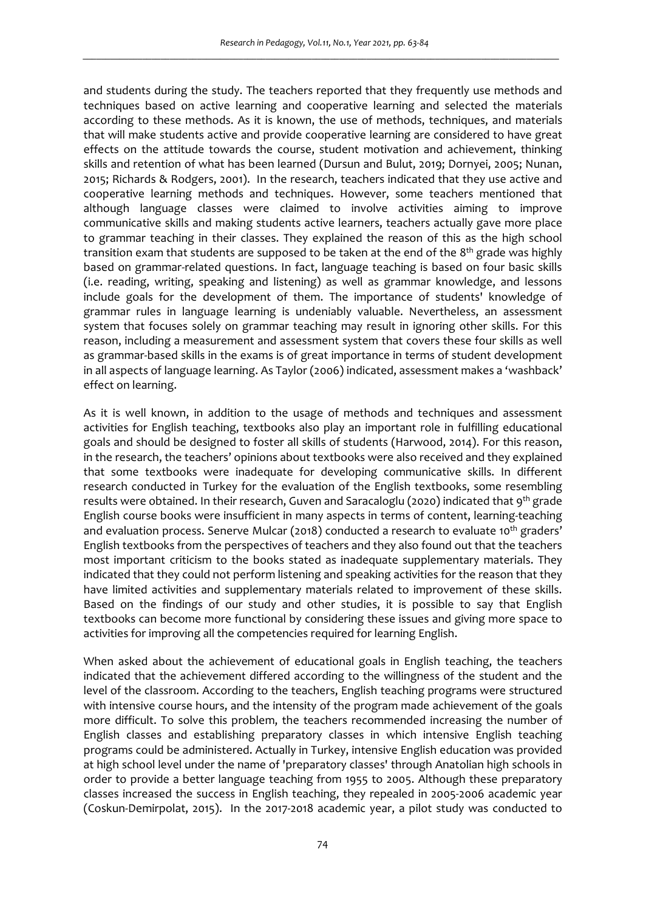and students during the study. The teachers reported that they frequently use methods and techniques based on active learning and cooperative learning and selected the materials according to these methods. As it is known, the use of methods, techniques, and materials that will make students active and provide cooperative learning are considered to have great effects on the attitude towards the course, student motivation and achievement, thinking skills and retention of what has been learned (Dursun and Bulut, 2019; Dornyei, 2005; Nunan, 2015; Richards & Rodgers, 2001). In the research, teachers indicated that they use active and cooperative learning methods and techniques. However, some teachers mentioned that although language classes were claimed to involve activities aiming to improve communicative skills and making students active learners, teachers actually gave more place to grammar teaching in their classes. They explained the reason of this as the high school transition exam that students are supposed to be taken at the end of the 8<sup>th</sup> grade was highly based on grammar-related questions. In fact, language teaching is based on four basic skills (i.e. reading, writing, speaking and listening) as well as grammar knowledge, and lessons include goals for the development of them. The importance of students' knowledge of grammar rules in language learning is undeniably valuable. Nevertheless, an assessment system that focuses solely on grammar teaching may result in ignoring other skills. For this reason, including a measurement and assessment system that covers these four skills as well as grammar-based skills in the exams is of great importance in terms of student development in all aspects of language learning. As Taylor (2006) indicated, assessment makes a 'washback' effect on learning.

As it is well known, in addition to the usage of methods and techniques and assessment activities for English teaching, textbooks also play an important role in fulfilling educational goals and should be designed to foster all skills of students (Harwood, 2014). For this reason, in the research, the teachers' opinions about textbooks were also received and they explained that some textbooks were inadequate for developing communicative skills. In different research conducted in Turkey for the evaluation of the English textbooks, some resembling results were obtained. In their research, Guven and Saracaloglu (2020) indicated that 9<sup>th</sup> grade English course books were insufficient in many aspects in terms of content, learning-teaching and evaluation process. Senerve Mulcar (2018) conducted a research to evaluate 10<sup>th</sup> graders' English textbooks from the perspectives of teachers and they also found out that the teachers most important criticism to the books stated as inadequate supplementary materials. They indicated that they could not perform listening and speaking activities for the reason that they have limited activities and supplementary materials related to improvement of these skills. Based on the findings of our study and other studies, it is possible to say that English textbooks can become more functional by considering these issues and giving more space to activities for improving all the competencies required for learning English.

When asked about the achievement of educational goals in English teaching, the teachers indicated that the achievement differed according to the willingness of the student and the level of the classroom. According to the teachers, English teaching programs were structured with intensive course hours, and the intensity of the program made achievement of the goals more difficult. To solve this problem, the teachers recommended increasing the number of English classes and establishing preparatory classes in which intensive English teaching programs could be administered. Actually in Turkey, intensive English education was provided at high school level under the name of 'preparatory classes' through Anatolian high schools in order to provide a better language teaching from 1955 to 2005. Although these preparatory classes increased the success in English teaching, they repealed in 2005-2006 academic year (Coskun-Demirpolat, 2015). In the 2017-2018 academic year, a pilot study was conducted to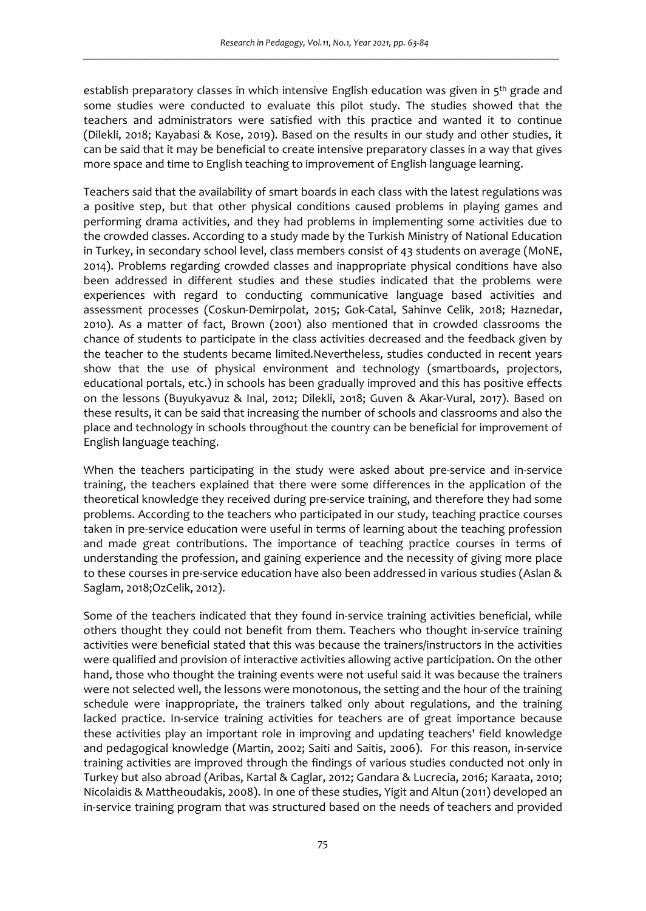establish preparatory classes in which intensive English education was given in  $5<sup>th</sup>$  grade and some studies were conducted to evaluate this pilot study. The studies showed that the teachers and administrators were satisfied with this practice and wanted it to continue (Dilekli, 2018; Kayabasi & Kose, 2019). Based on the results in our study and other studies, it can be said that it may be beneficial to create intensive preparatory classes in a way that gives more space and time to English teaching to improvement of English language learning.

Teachers said that the availability of smart boards in each class with the latest regulations was a positive step, but that other physical conditions caused problems in playing games and performing drama activities, and they had problems in implementing some activities due to the crowded classes. According to a study made by the Turkish Ministry of National Education in Turkey, in secondary school level, class members consist of 43 students on average (MoNE, 2014). Problems regarding crowded classes and inappropriate physical conditions have also been addressed in different studies and these studies indicated that the problems were experiences with regard to conducting communicative language based activities and assessment processes (Coskun-Demirpolat, 2015; Gok-Catal, Sahinve Celik, 2018; Haznedar, 2010). As a matter of fact, Brown (2001) also mentioned that in crowded classrooms the chance of students to participate in the class activities decreased and the feedback given by the teacher to the students became limited.Nevertheless, studies conducted in recent years show that the use of physical environment and technology (smartboards, projectors, educational portals, etc.) in schools has been gradually improved and this has positive effects on the lessons (Buyukyavuz & Inal, 2012; Dilekli, 2018; Guven & Akar-Vural, 2017). Based on these results, it can be said that increasing the number of schools and classrooms and also the place and technology in schools throughout the country can be beneficial for improvement of English language teaching.

When the teachers participating in the study were asked about pre-service and in-service training, the teachers explained that there were some differences in the application of the theoretical knowledge they received during pre-service training, and therefore they had some problems. According to the teachers who participated in our study, teaching practice courses taken in pre-service education were useful in terms of learning about the teaching profession and made great contributions. The importance of teaching practice courses in terms of understanding the profession, and gaining experience and the necessity of giving more place to these courses in pre-service education have also been addressed in various studies (Aslan & Saglam, 2018;OzCelik, 2012).

Some of the teachers indicated that they found in-service training activities beneficial, while others thought they could not benefit from them. Teachers who thought in-service training activities were beneficial stated that this was because the trainers/instructors in the activities were qualified and provision of interactive activities allowing active participation. On the other hand, those who thought the training events were not useful said it was because the trainers were not selected well, the lessons were monotonous, the setting and the hour of the training schedule were inappropriate, the trainers talked only about regulations, and the training lacked practice. In-service training activities for teachers are of great importance because these activities play an important role in improving and updating teachers' field knowledge and pedagogical knowledge (Martin, 2002; Saiti and Saitis, 2006). For this reason, in-service training activities are improved through the findings of various studies conducted not only in Turkey but also abroad (Aribas, Kartal & Caglar, 2012; Gandara & Lucrecia, 2016; Karaata, 2010; Nicolaidis & Mattheoudakis, 2008). In one of these studies, Yigit and Altun (2011) developed an in-service training program that was structured based on the needs of teachers and provided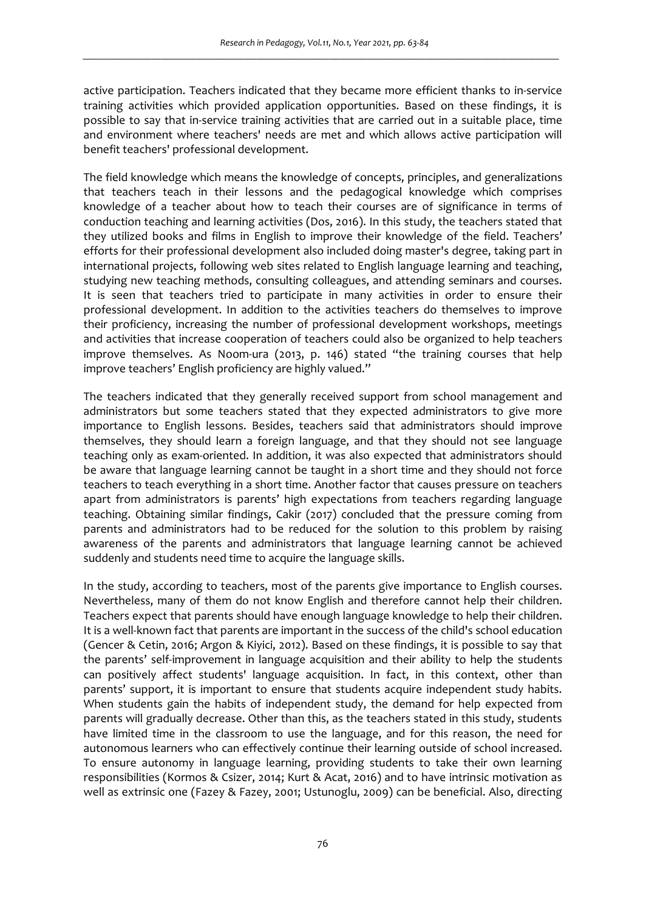active participation. Teachers indicated that they became more efficient thanks to in-service training activities which provided application opportunities. Based on these findings, it is possible to say that in-service training activities that are carried out in a suitable place, time and environment where teachers' needs are met and which allows active participation will benefit teachers' professional development.

The field knowledge which means the knowledge of concepts, principles, and generalizations that teachers teach in their lessons and the pedagogical knowledge which comprises knowledge of a teacher about how to teach their courses are of significance in terms of conduction teaching and learning activities (Dos, 2016). In this study, the teachers stated that they utilized books and films in English to improve their knowledge of the field. Teachers' efforts for their professional development also included doing master's degree, taking part in international projects, following web sites related to English language learning and teaching, studying new teaching methods, consulting colleagues, and attending seminars and courses. It is seen that teachers tried to participate in many activities in order to ensure their professional development. In addition to the activities teachers do themselves to improve their proficiency, increasing the number of professional development workshops, meetings and activities that increase cooperation of teachers could also be organized to help teachers improve themselves. As Noom-ura (2013, p. 146) stated "the training courses that help improve teachers' English proficiency are highly valued."

The teachers indicated that they generally received support from school management and administrators but some teachers stated that they expected administrators to give more importance to English lessons. Besides, teachers said that administrators should improve themselves, they should learn a foreign language, and that they should not see language teaching only as exam-oriented. In addition, it was also expected that administrators should be aware that language learning cannot be taught in a short time and they should not force teachers to teach everything in a short time. Another factor that causes pressure on teachers apart from administrators is parents' high expectations from teachers regarding language teaching. Obtaining similar findings, Cakir (2017) concluded that the pressure coming from parents and administrators had to be reduced for the solution to this problem by raising awareness of the parents and administrators that language learning cannot be achieved suddenly and students need time to acquire the language skills.

In the study, according to teachers, most of the parents give importance to English courses. Nevertheless, many of them do not know English and therefore cannot help their children. Teachers expect that parents should have enough language knowledge to help their children. It is a well-known fact that parents are important in the success of the child's school education (Gencer & Cetin, 2016; Argon & Kiyici, 2012). Based on these findings, it is possible to say that the parents' self-improvement in language acquisition and their ability to help the students can positively affect students' language acquisition. In fact, in this context, other than parents' support, it is important to ensure that students acquire independent study habits. When students gain the habits of independent study, the demand for help expected from parents will gradually decrease. Other than this, as the teachers stated in this study, students have limited time in the classroom to use the language, and for this reason, the need for autonomous learners who can effectively continue their learning outside of school increased. To ensure autonomy in language learning, providing students to take their own learning responsibilities (Kormos & Csizer, 2014; Kurt & Acat, 2016) and to have intrinsic motivation as well as extrinsic one (Fazey & Fazey, 2001; Ustunoglu, 2009) can be beneficial. Also, directing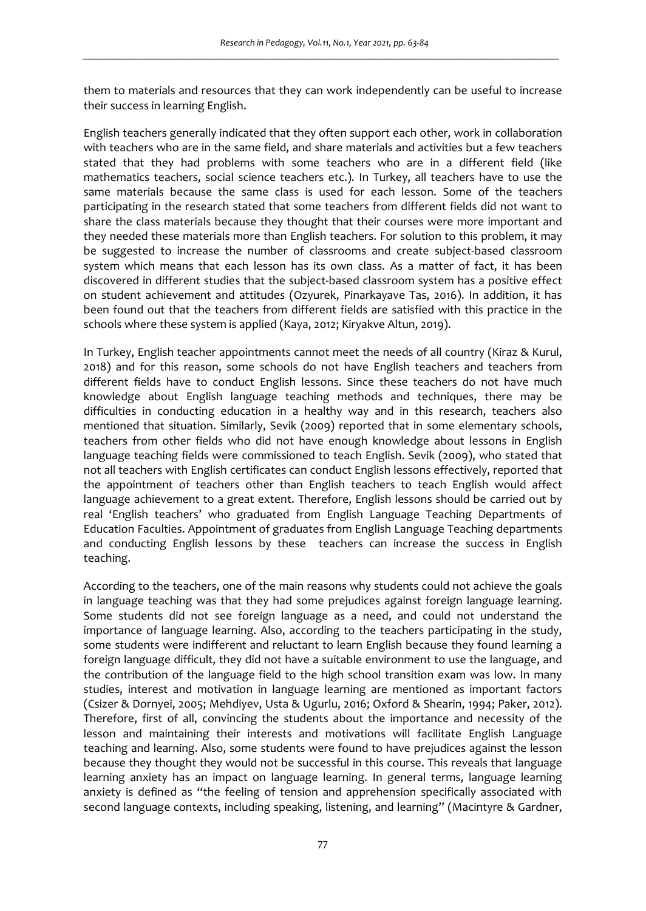them to materials and resources that they can work independently can be useful to increase their success in learning English.

English teachers generally indicated that they often support each other, work in collaboration with teachers who are in the same field, and share materials and activities but a few teachers stated that they had problems with some teachers who are in a different field (like mathematics teachers, social science teachers etc.). In Turkey, all teachers have to use the same materials because the same class is used for each lesson. Some of the teachers participating in the research stated that some teachers from different fields did not want to share the class materials because they thought that their courses were more important and they needed these materials more than English teachers. For solution to this problem, it may be suggested to increase the number of classrooms and create subject-based classroom system which means that each lesson has its own class. As a matter of fact, it has been discovered in different studies that the subject-based classroom system has a positive effect on student achievement and attitudes (Ozyurek, Pinarkayave Tas, 2016). In addition, it has been found out that the teachers from different fields are satisfied with this practice in the schools where these system is applied (Kaya, 2012; Kiryakve Altun, 2019).

In Turkey, English teacher appointments cannot meet the needs of all country (Kiraz & Kurul, 2018) and for this reason, some schools do not have English teachers and teachers from different fields have to conduct English lessons. Since these teachers do not have much knowledge about English language teaching methods and techniques, there may be difficulties in conducting education in a healthy way and in this research, teachers also mentioned that situation. Similarly, Sevik (2009) reported that in some elementary schools, teachers from other fields who did not have enough knowledge about lessons in English language teaching fields were commissioned to teach English. Sevik (2009), who stated that not all teachers with English certificates can conduct English lessons effectively, reported that the appointment of teachers other than English teachers to teach English would affect language achievement to a great extent. Therefore, English lessons should be carried out by real 'English teachers' who graduated from English Language Teaching Departments of Education Faculties. Appointment of graduates from English Language Teaching departments and conducting English lessons by these teachers can increase the success in English teaching.

According to the teachers, one of the main reasons why students could not achieve the goals in language teaching was that they had some prejudices against foreign language learning. Some students did not see foreign language as a need, and could not understand the importance of language learning. Also, according to the teachers participating in the study, some students were indifferent and reluctant to learn English because they found learning a foreign language difficult, they did not have a suitable environment to use the language, and the contribution of the language field to the high school transition exam was low. In many studies, interest and motivation in language learning are mentioned as important factors (Csizer & Dornyei, 2005; Mehdiyev, Usta & Ugurlu, 2016; Oxford & Shearin, 1994; Paker, 2012). Therefore, first of all, convincing the students about the importance and necessity of the lesson and maintaining their interests and motivations will facilitate English Language teaching and learning. Also, some students were found to have prejudices against the lesson because they thought they would not be successful in this course. This reveals that language learning anxiety has an impact on language learning. In general terms, language learning anxiety is defined as "the feeling of tension and apprehension specifically associated with second language contexts, including speaking, listening, and learning" (Macintyre & Gardner,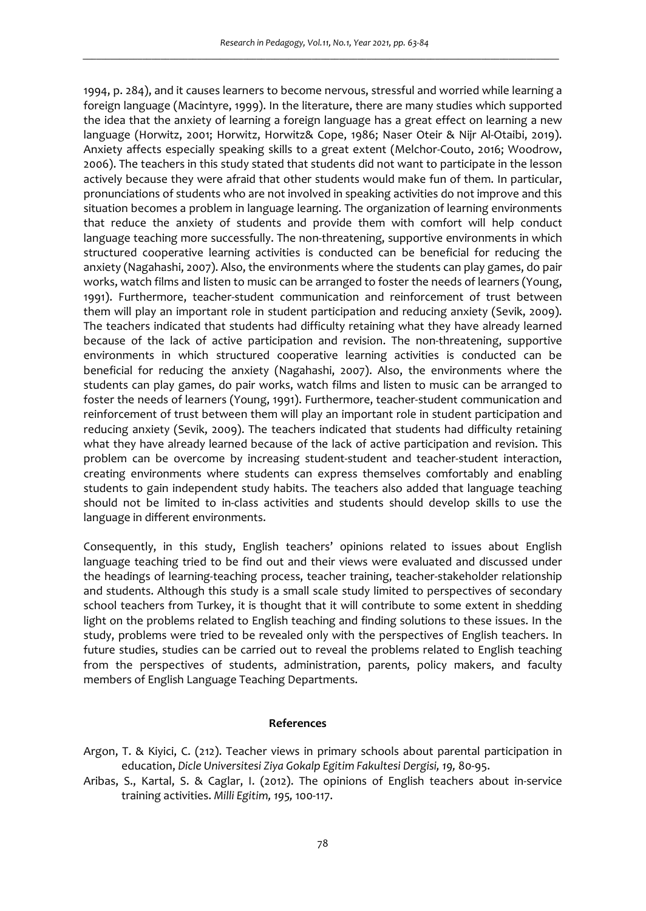1994, p. 284), and it causes learners to become nervous, stressful and worried while learning a foreign language (Macintyre, 1999). In the literature, there are many studies which supported the idea that the anxiety of learning a foreign language has a great effect on learning a new language (Horwitz, 2001; Horwitz, Horwitz& Cope, 1986; Naser Oteir & Nijr Al-Otaibi, 2019). Anxiety affects especially speaking skills to a great extent (Melchor-Couto, 2016; Woodrow, 2006). The teachers in this study stated that students did not want to participate in the lesson actively because they were afraid that other students would make fun of them. In particular, pronunciations of students who are not involved in speaking activities do not improve and this situation becomes a problem in language learning. The organization of learning environments that reduce the anxiety of students and provide them with comfort will help conduct language teaching more successfully. The non-threatening, supportive environments in which structured cooperative learning activities is conducted can be beneficial for reducing the anxiety (Nagahashi, 2007). Also, the environments where the students can play games, do pair works, watch films and listen to music can be arranged to foster the needs of learners (Young, 1991). Furthermore, teacher-student communication and reinforcement of trust between them will play an important role in student participation and reducing anxiety (Sevik, 2009). The teachers indicated that students had difficulty retaining what they have already learned because of the lack of active participation and revision. The non-threatening, supportive environments in which structured cooperative learning activities is conducted can be beneficial for reducing the anxiety (Nagahashi, 2007). Also, the environments where the students can play games, do pair works, watch films and listen to music can be arranged to foster the needs of learners (Young, 1991). Furthermore, teacher-student communication and reinforcement of trust between them will play an important role in student participation and reducing anxiety (Sevik, 2009). The teachers indicated that students had difficulty retaining what they have already learned because of the lack of active participation and revision. This problem can be overcome by increasing student-student and teacher-student interaction, creating environments where students can express themselves comfortably and enabling students to gain independent study habits. The teachers also added that language teaching should not be limited to in-class activities and students should develop skills to use the language in different environments.

Consequently, in this study, English teachers' opinions related to issues about English language teaching tried to be find out and their views were evaluated and discussed under the headings of learning-teaching process, teacher training, teacher-stakeholder relationship and students. Although this study is a small scale study limited to perspectives of secondary school teachers from Turkey, it is thought that it will contribute to some extent in shedding light on the problems related to English teaching and finding solutions to these issues. In the study, problems were tried to be revealed only with the perspectives of English teachers. In future studies, studies can be carried out to reveal the problems related to English teaching from the perspectives of students, administration, parents, policy makers, and faculty members of English Language Teaching Departments.

#### **References**

- Argon, T. & Kiyici, C. (212). Teacher views in primary schools about parental participation in education, *Dicle Universitesi Ziya Gokalp Egitim Fakultesi Dergisi, 19,* 80-95.
- Aribas, S., Kartal, S. & Caglar, I. (2012). The opinions of English teachers about in-service training activities. *Milli Egitim, 195,* 100-117.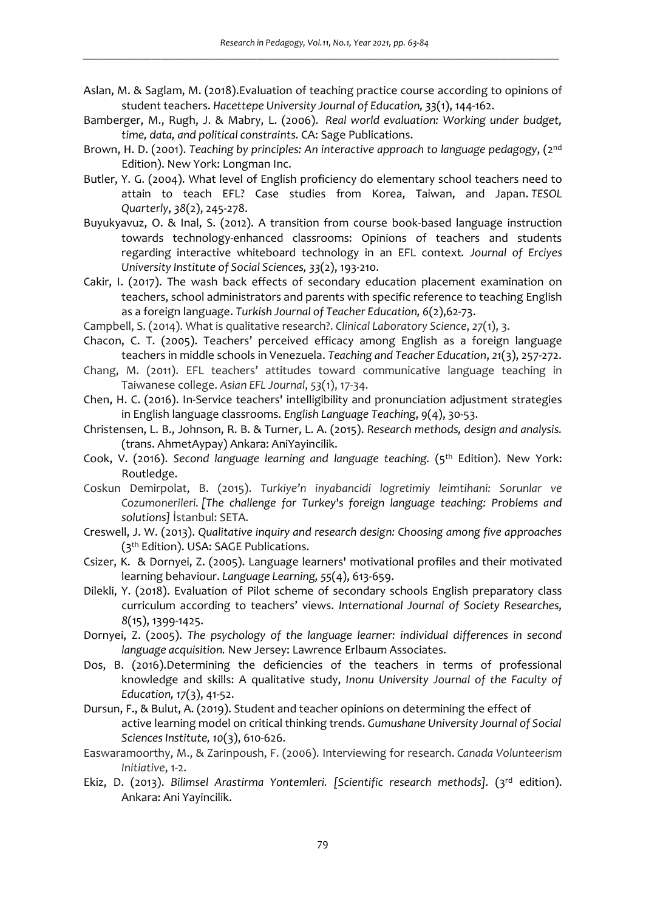- Aslan, M. & Saglam, M. (2018).Evaluation of teaching practice course according to opinions of student teachers. *Hacettepe University Journal of Education, 33*(1), 144-162.
- Bamberger, M., Rugh, J. & Mabry, L. (2006). *Real world evaluation: Working under budget, time, data, and political constraints.* CA: Sage Publications.
- Brown, H. D. (2001). *Teaching by principles: An interactive approach to language pedagogy*, (2nd Edition). New York: Longman Inc.
- Butler, Y. G. (2004). What level of English proficiency do elementary school teachers need to attain to teach EFL? Case studies from Korea, Taiwan, and Japan. *TESOL Quarterly*, *38*(2), 245-278.
- Buyukyavuz, O. & Inal, S. (2012). A transition from course book-based language instruction towards technology-enhanced classrooms: Opinions of teachers and students regarding interactive whiteboard technology in an EFL context*. Journal of Erciyes University Institute of Social Sciences, 33*(2), 193-210.
- Cakir, I. (2017). The wash back effects of secondary education placement examination on teachers, school administrators and parents with specific reference to teaching English as a foreign language. *Turkish Journal of Teacher Education, 6*(2),62-73.
- Campbell, S. (2014). What is qualitative research?. *Clinical Laboratory Science*, *27*(1), 3.
- Chacon, C. T. (2005). Teachers' perceived efficacy among English as a foreign language teachers in middle schools in Venezuela. *Teaching and Teacher Education*, *21*(3), 257-272.
- Chang, M. (2011). EFL teachers' attitudes toward communicative language teaching in Taiwanese college. *Asian EFL Journal*, *53*(1), 17-34.
- Chen, H. C. (2016). In-Service teachers' intelligibility and pronunciation adjustment strategies in English language classrooms. *English Language Teaching*, *9*(4), 30-53.
- Christensen, L. B., Johnson, R. B. & Turner, L. A. (2015). *Research methods, design and analysis.* (trans. AhmetAypay) Ankara: AniYayincilik.
- Cook, V. (2016). Second language learning and language teaching. (5<sup>th</sup> Edition). New York: Routledge.
- Coskun Demirpolat, B. (2015). *Turkiye'n inyabancidi logretimiy leimtihani: Sorunlar ve Cozumonerileri. [The challenge for Turkey's foreign language teaching: Problems and solutions]* İstanbul: SETA.
- Creswell, J. W. (2013). *Qualitative inquiry and research design: Choosing among five approaches* (3th Edition). USA: SAGE Publications.
- Csizer, K. & Dornyei, Z. (2005). Language learners' motivational profiles and their motivated learning behaviour. *Language Learning, 55*(4), 613-659.
- Dilekli, Y. (2018). Evaluation of Pilot scheme of secondary schools English preparatory class curriculum according to teachers' views. *International Journal of Society Researches, 8*(15), 1399-1425.
- Dornyei, Z. (2005). *The psychology of the language learner: individual differences in second language acquisition.* New Jersey: Lawrence Erlbaum Associates.
- Dos, B. (2016).Determining the deficiencies of the teachers in terms of professional knowledge and skills: A qualitative study, *Inonu University Journal of the Faculty of Education, 17*(3), 41-52.
- Dursun, F., & Bulut, A. (2019). Student and teacher opinions on determining the effect of active learning model on critical thinking trends. *Gumushane University Journal of Social Sciences Institute, 10*(3), 610-626.
- Easwaramoorthy, M., & Zarinpoush, F. (2006). Interviewing for research. *Canada Volunteerism Initiative*, 1-2.
- Ekiz, D. (2013). Bilimsel Arastirma Yontemleri. [Scientific research methods]. (3<sup>rd</sup> edition). Ankara: Ani Yayincilik.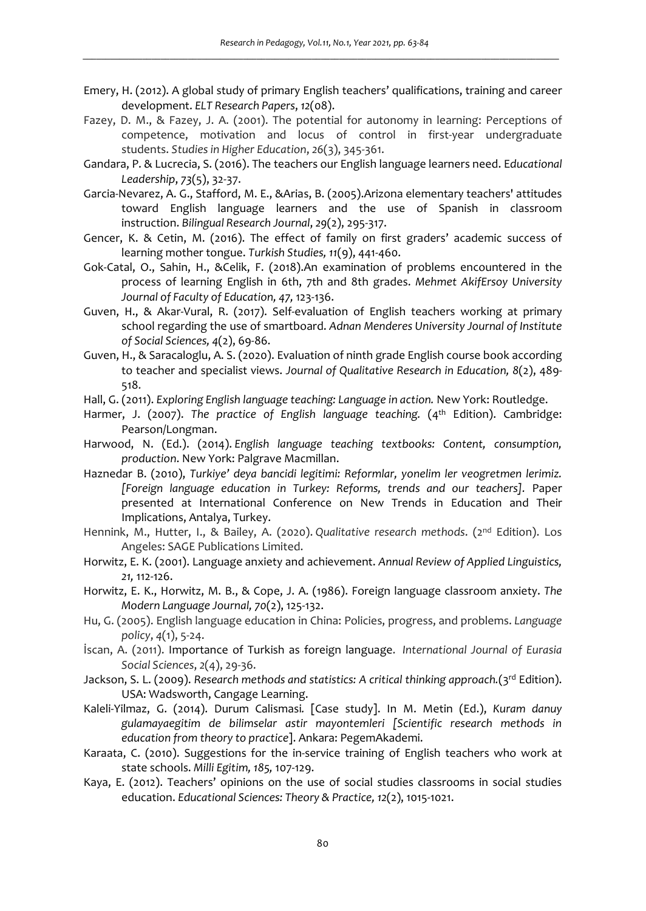- Emery, H. (2012). A global study of primary English teachers' qualifications, training and career development. *ELT Research Papers*, *12*(08).
- Fazey, D. M., & Fazey, J. A. (2001). The potential for autonomy in learning: Perceptions of competence, motivation and locus of control in first-year undergraduate students. *Studies in Higher Education*, *26*(3), 345-361.
- Gandara, P. & Lucrecia, S. (2016). The teachers our English language learners need. E*ducational Leadership*, *73*(5), 32-37.
- Garcia-Nevarez, A. G., Stafford, M. E., &Arias, B. (2005).Arizona elementary teachers' attitudes toward English language learners and the use of Spanish in classroom instruction. *Bilingual Research Journal*, *29*(2), 295-317.
- Gencer, K. & Cetin, M. (2016). The effect of family on first graders' academic success of learning mother tongue. *Turkish Studies, 11*(9), 441-460.
- Gok-Catal, O., Sahin, H., &Celik, F. (2018).An examination of problems encountered in the process of learning English in 6th, 7th and 8th grades. *Mehmet AkifErsoy University Journal of Faculty of Education, 47,* 123-136.
- Guven, H., & Akar-Vural, R. (2017). Self-evaluation of English teachers working at primary school regarding the use of smartboard. *Adnan Menderes University Journal of Institute of Social Sciences, 4*(2), 69-86.
- Guven, H., & Saracaloglu, A. S. (2020). Evaluation of ninth grade English course book according to teacher and specialist views. *Journal of Qualitative Research in Education, 8*(2), 489- 518.
- Hall, G. (2011). *Exploring English language teaching: Language in action.* New York: Routledge.
- Harmer, J. (2007). The practice of English language teaching. (4<sup>th</sup> Edition). Cambridge: Pearson/Longman.
- Harwood, N. (Ed.). (2014). *English language teaching textbooks: Content, consumption, production*. New York: Palgrave Macmillan.
- Haznedar B. (2010), *Turkiye' deya bancidi legitimi: Reformlar, yonelim ler veogretmen lerimiz. [Foreign language education in Turkey: Reforms, trends and our teachers].* Paper presented at International Conference on New Trends in Education and Their Implications, Antalya, Turkey.
- Hennink, M., Hutter, I., & Bailey, A. (2020). *Qualitative research methods*. (2nd Edition). Los Angeles: SAGE Publications Limited.
- Horwitz, E. K. (2001). Language anxiety and achievement. *Annual Review of Applied Linguistics, 21,* 112-126.
- Horwitz, E. K., Horwitz, M. B., & Cope, J. A. (1986). Foreign language classroom anxiety. *The Modern Language Journal, 70*(2), 125-132.
- Hu, G. (2005). English language education in China: Policies, progress, and problems. *Language policy*, *4*(1), 5-24.
- İscan, A. (2011). Importance of Turkish as foreign language. *International Journal of Eurasia Social Sciences*, *2*(4), 29-36.
- Jackson, S. L. (2009). *Research methods and statistics: A critical thinking approach.*(3<sup>rd</sup> Edition). USA: Wadsworth, Cangage Learning.
- Kaleli-Yilmaz, G. (2014). Durum Calismasi*.* [Case study]. In M. Metin (Ed.), *Kuram danuy gulamayaegitim de bilimselar astir mayontemleri [Scientific research methods in education from theory to practice*]. Ankara: PegemAkademi.
- Karaata, C. (2010). Suggestions for the in-service training of English teachers who work at state schools. *Milli Egitim, 185,* 107-129.
- Kaya, E. (2012). Teachers' opinions on the use of social studies classrooms in social studies education. *Educational Sciences: Theory & Practice, 12*(2), 1015-1021.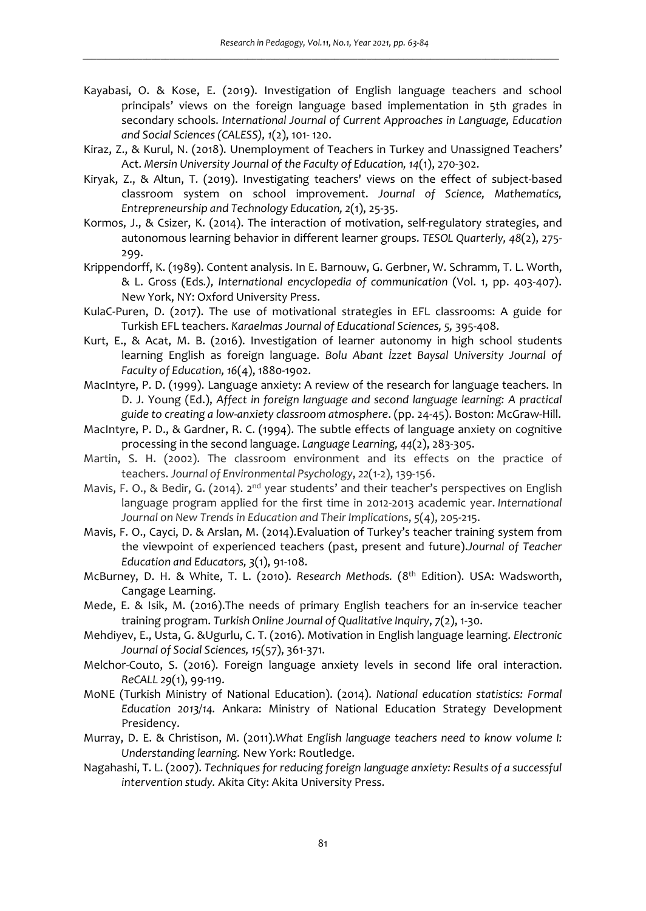- Kayabasi, O. & Kose, E. (2019). Investigation of English language teachers and school principals' views on the foreign language based implementation in 5th grades in secondary schools. *International Journal of Current Approaches in Language, Education and Social Sciences (CALESS), 1*(2), 101- 120.
- Kiraz, Z., & Kurul, N. (2018). Unemployment of Teachers in Turkey and Unassigned Teachers' Act. *Mersin University Journal of the Faculty of Education, 14*(1), 270-302.
- Kiryak, Z., & Altun, T. (2019). Investigating teachers' views on the effect of subject-based classroom system on school improvement. *Journal of Science, Mathematics, Entrepreneurship and Technology Education, 2*(1), 25-35.
- Kormos, J., & Csizer, K. (2014). The interaction of motivation, self-regulatory strategies, and autonomous learning behavior in different learner groups. *TESOL Quarterly, 48*(2), 275- 299.
- Krippendorff, K. (1989). Content analysis. In E. Barnouw, G. Gerbner, W. Schramm, T. L. Worth, & L. Gross (Eds*.), International encyclopedia of communication* (Vol. 1, pp. 403-407). New York, NY: Oxford University Press.
- KulaC-Puren, D. (2017). The use of motivational strategies in EFL classrooms: A guide for Turkish EFL teachers. *Karaelmas Journal of Educational Sciences, 5,* 395-408.
- Kurt, E., & Acat, M. B. (2016). Investigation of learner autonomy in high school students learning English as foreign language. *Bolu Abant İzzet Baysal University Journal of Faculty of Education, 16*(4), 1880-1902.
- MacIntyre, P. D. (1999). Language anxiety: A review of the research for language teachers. In D. J. Young (Ed.), *Affect in foreign language and second language learning: A practical guide to creating a low-anxiety classroom atmosphere*. (pp. 24-45). Boston: McGraw-Hill.
- MacIntyre, P. D., & Gardner, R. C. (1994). The subtle effects of language anxiety on cognitive processing in the second language. *Language Learning, 44*(2), 283-305.
- Martin, S. H. (2002). The classroom environment and its effects on the practice of teachers. *Journal of Environmental Psychology*, *22*(1-2), 139-156.
- Mavis, F. O., & Bedir, G. (2014). 2<sup>nd</sup> year students' and their teacher's perspectives on English language program applied for the first time in 2012-2013 academic year. *International Journal on New Trends in Education and Their Implications*, *5*(4), 205-215.
- Mavis, F. O., Cayci, D. & Arslan, M. (2014).Evaluation of Turkey's teacher training system from the viewpoint of experienced teachers (past, present and future).*Journal of Teacher Education and Educators, 3*(1), 91-108.
- McBurney, D. H. & White, T. L. (2010). *Research Methods.* (8th Edition). USA: Wadsworth, Cangage Learning.
- Mede, E. & Isik, M. (2016).The needs of primary English teachers for an in-service teacher training program. *Turkish Online Journal of Qualitative Inquiry*, *7*(2), 1-30.
- Mehdiyev, E., Usta, G. &Ugurlu, C. T. (2016). Motivation in English language learning. *Electronic Journal of Social Sciences, 15*(57), 361-371.
- Melchor-Couto, S. (2016). Foreign language anxiety levels in second life oral interaction. *ReCALL 29*(1), 99-119.
- MoNE (Turkish Ministry of National Education). (2014). *National education statistics: Formal Education 2013/14.* Ankara: Ministry of National Education Strategy Development Presidency.
- Murray, D. E. & Christison, M. (2011).*What English language teachers need to know volume I: Understanding learning.* New York: Routledge.
- Nagahashi, T. L. (2007). *Techniques for reducing foreign language anxiety: Results of a successful intervention study.* Akita City: Akita University Press.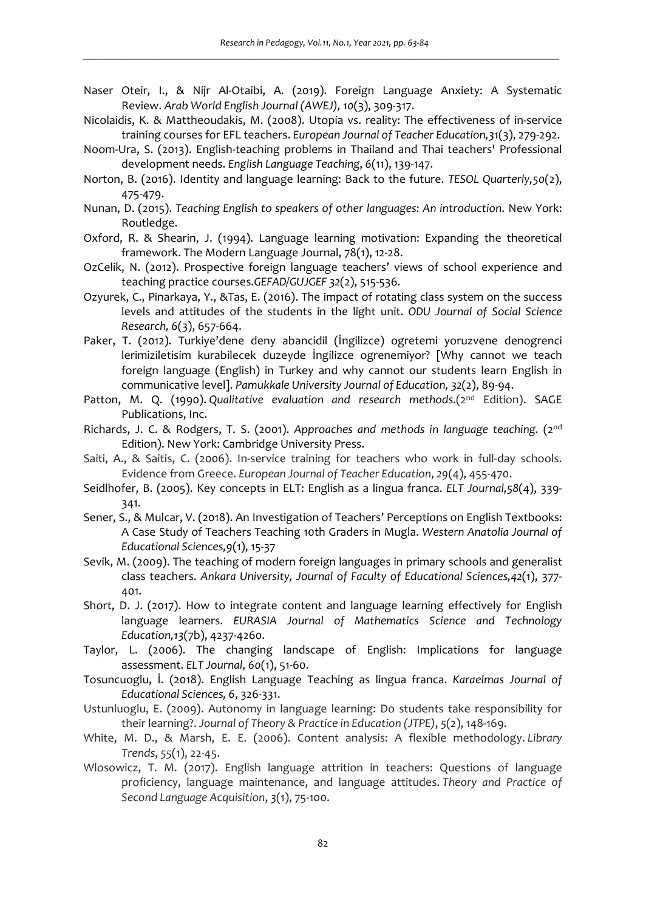- Naser Oteir, I., & Nijr Al-Otaibi, A. (2019). Foreign Language Anxiety: A Systematic Review. *Arab World English Journal (AWEJ), 10*(3), 309-317.
- Nicolaidis, K. & Mattheoudakis, M. (2008). Utopia vs. reality: The effectiveness of in-service training courses for EFL teachers. *European Journal of Teacher Education,31*(3), 279-292.
- Noom-Ura, S. (2013). English-teaching problems in Thailand and Thai teachers' Professional development needs. *English Language Teaching*, *6*(11), 139-147.
- Norton, B. (2016). Identity and language learning: Back to the future. *TESOL Quarterly,50*(2), 475-479.
- Nunan, D. (2015). *Teaching English to speakers of other languages: An introduction*. New York: Routledge.
- Oxford, R. & Shearin, J. (1994). Language learning motivation: Expanding the theoretical framework. The Modern Language Journal, 78(1), 12-28.
- OzCelik, N. (2012). Prospective foreign language teachers' views of school experience and teaching practice courses.*GEFAD/GUJGEF 32*(2), 515-536.
- Ozyurek, C., Pinarkaya, Y., &Tas, E. (2016). The impact of rotating class system on the success levels and attitudes of the students in the light unit. *ODU Journal of Social Science Research, 6*(3), 657-664.
- Paker, T. (2012). Turkiye'dene deny abancidil (İngilizce) ogretemi yoruzvene denogrenci lerimiziletisim kurabilecek duzeyde İngilizce ogrenemiyor? [Why cannot we teach foreign language (English) in Turkey and why cannot our students learn English in communicative level]. *Pamukkale University Journal of Education, 32*(2), 89-94.
- Patton, M. Q. (1990). *Qualitative evaluation and research methods*.(2nd Edition). SAGE Publications, Inc.
- Richards, J. C. & Rodgers, T. S. (2001). *Approaches and methods in language teaching.* (2nd Edition). New York: Cambridge University Press.
- Saiti, A., & Saitis, C. (2006). In-service training for teachers who work in full-day schools. Evidence from Greece. *European Journal of Teacher Education*, *29*(4), 455-470.
- Seidlhofer, B. (2005). Key concepts in ELT: English as a lingua franca. *ELT Journal,58*(4), 339- 341.
- Sener, S., & Mulcar, V. (2018). An Investigation of Teachers' Perceptions on English Textbooks: A Case Study of Teachers Teaching 10th Graders in Mugla. *Western Anatolia Journal of Educational Sciences,9*(1), 15-37
- Sevik, M. (2009). The teaching of modern foreign languages in primary schools and generalist class teachers. *Ankara University, Journal of Faculty of Educational Sciences,42*(1), 377- 401.
- Short, D. J. (2017). How to integrate content and language learning effectively for English language learners. *EURASIA Journal of Mathematics Science and Technology Education,13*(7b), 4237-4260.
- Taylor, L. (2006). The changing landscape of English: Implications for language assessment. *ELT Journal*, *60*(1), 51-60.
- Tosuncuoglu, İ. (2018). English Language Teaching as lingua franca. *Karaelmas Journal of Educational Sciences, 6*, 326-331.
- Ustunluoglu, E. (2009). Autonomy in language learning: Do students take responsibility for their learning?. *Journal of Theory & Practice in Education (JTPE)*, *5*(2), 148-169.
- White, M. D., & Marsh, E. E. (2006). Content analysis: A flexible methodology. *Library Trends*, *55*(1), 22-45.
- Wlosowicz, T. M. (2017). English language attrition in teachers: Questions of language proficiency, language maintenance, and language attitudes. *Theory and Practice of Second Language Acquisition*, *3*(1), 75-100.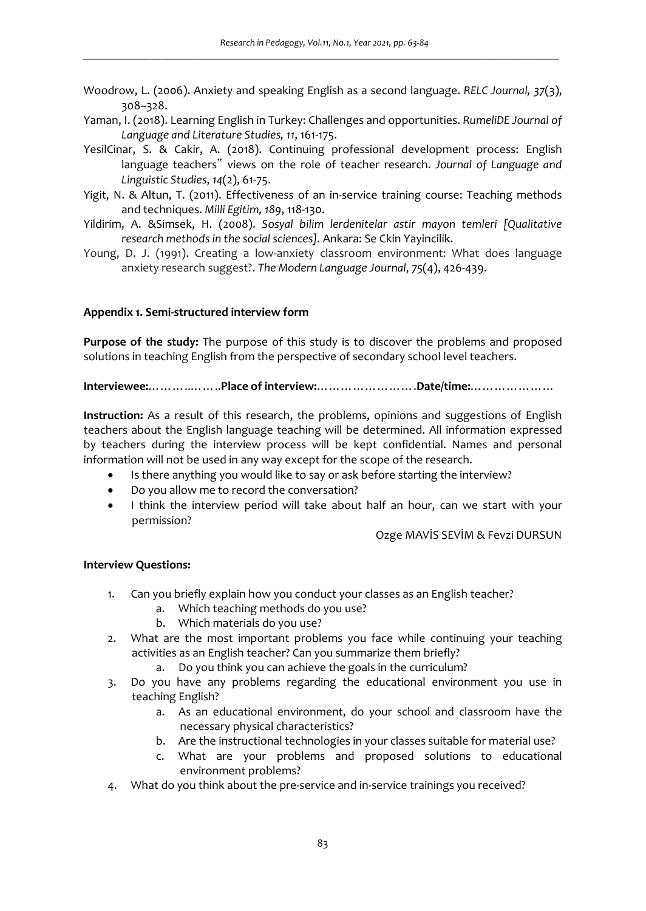- Woodrow, L. (2006). Anxiety and speaking English as a second language. *RELC Journal, 37*(3), 308–328.
- Yaman, I. (2018). Learning English in Turkey: Challenges and opportunities. *RumeliDE Journal of Language and Literature Studies, 11*, 161-175.
- YesilCinar, S. & Cakir, A. (2018). Continuing professional development process: English language teachers" views on the role of teacher research. *Journal of Language and Linguistic Studies*, *14*(2), 61-75.
- Yigit, N. & Altun, T. (2011). Effectiveness of an in-service training course: Teaching methods and techniques. *Milli Egitim, 189*, 118-130.
- Yildirim, A. &Simsek, H. (2008). *Sosyal bilim lerdenitelar astir mayon temleri [Qualitative research methods in the social sciences].* Ankara: Se Ckin Yayincilik.
- Young, D. J. (1991). Creating a low-anxiety classroom environment: What does language anxiety research suggest?. *The Modern Language Journal*, *75*(4), 426-439.

## **Appendix 1. Semi-structured interview form**

**Purpose of the study:** The purpose of this study is to discover the problems and proposed solutions in teaching English from the perspective of secondary school level teachers.

**Interviewee:**………..……..**Place of interview:**…………………….**Date/time:**…………………

**Instruction:** As a result of this research, the problems, opinions and suggestions of English teachers about the English language teaching will be determined. All information expressed by teachers during the interview process will be kept confidential. Names and personal information will not be used in any way except for the scope of the research.

- Is there anything you would like to say or ask before starting the interview?
- Do you allow me to record the conversation?
- I think the interview period will take about half an hour, can we start with your permission?

Ozge MAVİS SEVİM & Fevzi DURSUN

### **Interview Questions:**

- 1. Can you briefly explain how you conduct your classes as an English teacher?
	- a. Which teaching methods do you use?
	- b. Which materials do you use?
- 2. What are the most important problems you face while continuing your teaching activities as an English teacher? Can you summarize them briefly?
	- a. Do you think you can achieve the goals in the curriculum?
- 3. Do you have any problems regarding the educational environment you use in teaching English?
	- a. As an educational environment, do your school and classroom have the necessary physical characteristics?
	- b. Are the instructional technologies in your classes suitable for material use?
	- c. What are your problems and proposed solutions to educational environment problems?
- 4. What do you think about the pre-service and in-service trainings you received?